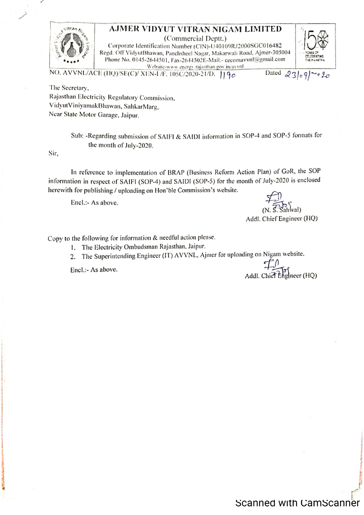

## AJMER VIDYUT VITRAN NIGAM LIMITED

(Commercial Deptt.) Corporate Identification Number (CIN)-U40109RJ2000SGC016482 Regd. Off VidyutBhawan, Panchsheel Nagar, Makarwali Road, Ajmer-305004 Phone No. 0145-2644501, Fax-2644502E-Mail:- cecomavvnl@gmail.com Website-www.energy.rajasthan.gov.in/avvnl



NO. AVVNL/ACE (HQ)/SE(C)/ XEN-I/F. 105C/2020-21/D. 190

Dated  $23/v9$  $\cdot$  o  $20$ 

The Secretary, Rajasthan Electricity Regulatory Commission, VidyutViniyamakBhawan, SahkarMarg, Near State Motor Garage, Jaipur.

> Sub: -Regarding submission of SAIFI & SAIDI information in SOP-4 and SOP-5 formats for the month of July-2020.

Sir.

In reference to implementation of BRAP (Business Reform Action Plan) of GoR, the SOP information in respect of SAIFI (SOP-4) and SAIDI (SOP-5) for the month of July-2020 is enclosed herewith for publishing / uploading on Hon'ble Commission's website.

Encl.:- As above.

(val)

Addl. Chief Engineer (HQ)

Copy to the following for information & needful action please.

1. The Electricity Ombudsman Rajasthan, Jaipur.

2. The Superintending Engineer (IT) AVVNL, Ajmer for uploading on Nigam website.

Encl.:- As above.

Addl. Chief Engineer (HQ)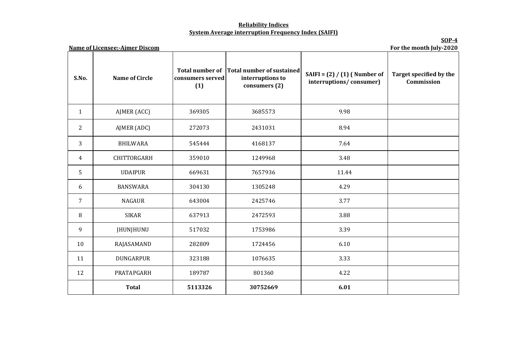## **Reliability Indices System Average interruption Frequency Index (SAIFI)**

**SOP-4**

| <b>Name of Licensee:-Ajmer Discom</b> | For the month July-2020 |                         |                                                                                |                                                           |                                       |
|---------------------------------------|-------------------------|-------------------------|--------------------------------------------------------------------------------|-----------------------------------------------------------|---------------------------------------|
| S.No.                                 | <b>Name of Circle</b>   | consumers served<br>(1) | Total number of Total number of sustained<br>interruptions to<br>consumers (2) | SAIFI = $(2) / (1)$ (Number of<br>interruptions/consumer) | Target specified by the<br>Commission |
| $\mathbf{1}$                          | AJMER (ACC)             | 369305                  | 3685573                                                                        | 9.98                                                      |                                       |
| $\overline{2}$                        | AJMER (ADC)             | 272073                  | 2431031                                                                        | 8.94                                                      |                                       |
| 3                                     | <b>BHILWARA</b>         | 545444                  | 4168137                                                                        | 7.64                                                      |                                       |
| $\overline{4}$                        | <b>CHITTORGARH</b>      | 359010                  | 1249968                                                                        | 3.48                                                      |                                       |
| 5                                     | <b>UDAIPUR</b>          | 669631                  | 7657936                                                                        | 11.44                                                     |                                       |
| 6                                     | <b>BANSWARA</b>         | 304130                  | 1305248                                                                        | 4.29                                                      |                                       |
| $\overline{7}$                        | <b>NAGAUR</b>           | 643004                  | 2425746                                                                        | 3.77                                                      |                                       |
| 8                                     | <b>SIKAR</b>            | 637913                  | 2472593                                                                        | 3.88                                                      |                                       |
| 9                                     | JHUNJHUNU               | 517032                  | 1753986                                                                        | 3.39                                                      |                                       |
| 10                                    | RAJASAMAND              | 282809                  | 1724456                                                                        | 6.10                                                      |                                       |
| 11                                    | <b>DUNGARPUR</b>        | 323188                  | 1076635                                                                        | 3.33                                                      |                                       |
| 12                                    | PRATAPGARH              | 189787                  | 801360                                                                         | 4.22                                                      |                                       |
|                                       | <b>Total</b>            | 5113326                 | 30752669                                                                       | 6.01                                                      |                                       |